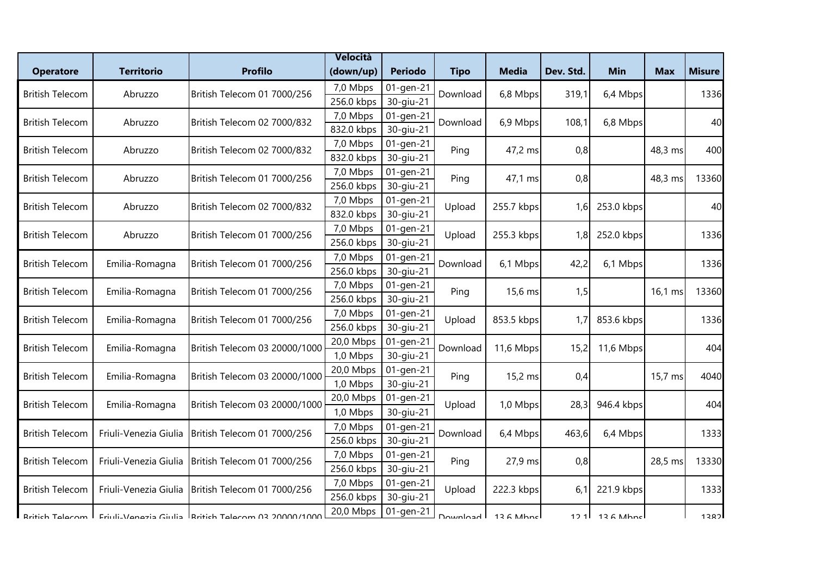|                        |                       |                                                      | Velocità   |                |             |              |           |                   |            |               |
|------------------------|-----------------------|------------------------------------------------------|------------|----------------|-------------|--------------|-----------|-------------------|------------|---------------|
| <b>Operatore</b>       | <b>Territorio</b>     | <b>Profilo</b>                                       | (down/up)  | <b>Periodo</b> | <b>Tipo</b> | <b>Media</b> | Dev. Std. | <b>Min</b>        | <b>Max</b> | <b>Misure</b> |
| <b>British Telecom</b> | Abruzzo               | British Telecom 01 7000/256                          | 7,0 Mbps   | 01-gen-21      | Download    | 6,8 Mbps     | 319,1     | 6,4 Mbps          |            | 1336          |
|                        |                       |                                                      | 256.0 kbps | 30-giu-21      |             |              |           |                   |            |               |
| <b>British Telecom</b> | Abruzzo               | British Telecom 02 7000/832                          | 7,0 Mbps   | 01-gen-21      | Download    | 6,9 Mbps     | 108,1     | 6,8 Mbps          |            | 40            |
|                        |                       |                                                      | 832.0 kbps | 30-giu-21      |             |              |           |                   |            |               |
| <b>British Telecom</b> | Abruzzo               | British Telecom 02 7000/832                          | 7,0 Mbps   | 01-gen-21      | Ping        | 47,2 ms      | 0,8       |                   | 48,3 ms    | 400           |
|                        |                       |                                                      | 832.0 kbps | 30-giu-21      |             |              |           |                   |            |               |
| <b>British Telecom</b> | Abruzzo               | British Telecom 01 7000/256                          | 7,0 Mbps   | 01-gen-21      | Ping        | 47,1 ms      | 0,8       |                   | 48,3 ms    | 13360         |
|                        |                       |                                                      | 256.0 kbps | 30-giu-21      |             |              |           |                   |            |               |
| <b>British Telecom</b> | Abruzzo               | British Telecom 02 7000/832                          | 7,0 Mbps   | 01-gen-21      | Upload      | 255.7 kbps   | 1,6       | 253.0 kbps        |            | 40            |
|                        |                       |                                                      | 832.0 kbps | 30-giu-21      |             |              |           |                   |            |               |
| <b>British Telecom</b> | Abruzzo               | British Telecom 01 7000/256                          | 7,0 Mbps   | 01-gen-21      | Upload      | 255.3 kbps   | 1,8       | 252.0 kbps        |            | 1336          |
|                        |                       |                                                      | 256.0 kbps | 30-giu-21      |             |              |           |                   |            |               |
| <b>British Telecom</b> | Emilia-Romagna        | British Telecom 01 7000/256                          | 7,0 Mbps   | 01-gen-21      | Download    | 6,1 Mbps     | 42,2      | 6,1 Mbps          |            | 1336          |
|                        |                       |                                                      | 256.0 kbps | 30-giu-21      |             |              |           |                   |            |               |
| <b>British Telecom</b> | Emilia-Romagna        | British Telecom 01 7000/256                          | 7,0 Mbps   | 01-gen-21      | Ping        | 15,6 ms      | 1,5       |                   | 16,1 ms    | 13360         |
|                        |                       |                                                      | 256.0 kbps | 30-giu-21      |             |              |           |                   |            |               |
| <b>British Telecom</b> | Emilia-Romagna        | British Telecom 01 7000/256                          | 7,0 Mbps   | 01-gen-21      | Upload      | 853.5 kbps   | 1,7       | 853.6 kbps        |            | 1336          |
|                        |                       |                                                      | 256.0 kbps | 30-giu-21      |             |              |           |                   |            |               |
| <b>British Telecom</b> | Emilia-Romagna        | British Telecom 03 20000/1000                        | 20,0 Mbps  | 01-gen-21      | Download    | 11,6 Mbps    | 15,2      | 11,6 Mbps         |            | 404           |
|                        |                       |                                                      | 1,0 Mbps   | 30-giu-21      |             |              |           |                   |            |               |
| <b>British Telecom</b> | Emilia-Romagna        | British Telecom 03 20000/1000                        | 20,0 Mbps  | 01-gen-21      | Ping        | 15,2 ms      | 0,4       |                   | 15,7 ms    | 4040          |
|                        |                       |                                                      | 1,0 Mbps   | 30-giu-21      |             |              |           |                   |            |               |
| <b>British Telecom</b> | Emilia-Romagna        | British Telecom 03 20000/1000                        | 20,0 Mbps  | 01-gen-21      | Upload      | 1,0 Mbps     | 28,3      | 946.4 kbps        |            | 404           |
|                        |                       |                                                      | 1,0 Mbps   | 30-giu-21      |             |              |           |                   |            |               |
| <b>British Telecom</b> | Friuli-Venezia Giulia | British Telecom 01 7000/256                          | 7,0 Mbps   | 01-gen-21      | Download    | 6,4 Mbps     | 463,6     | 6,4 Mbps          |            | 1333          |
|                        |                       |                                                      | 256.0 kbps | 30-giu-21      |             |              |           |                   |            |               |
| <b>British Telecom</b> | Friuli-Venezia Giulia | British Telecom 01 7000/256                          | 7,0 Mbps   | $01$ -gen-21   | Ping        | 27,9 ms      | 0,8       |                   | 28,5 ms    | 13330         |
|                        |                       |                                                      | 256.0 kbps | 30-giu-21      |             |              |           |                   |            |               |
| <b>British Telecom</b> | Friuli-Venezia Giulia | British Telecom 01 7000/256                          | 7,0 Mbps   | 01-gen-21      | Upload      | 222.3 kbps   | 6,1       | 221.9 kbps        |            | 1333          |
|                        |                       |                                                      | 256.0 kbps | 30-giu-21      |             |              |           |                   |            |               |
| Rritich Talacom        |                       | Friuli-Vanazia Giulia IRritich Talacom 03 20000/1000 | 20,0 Mbps  | 01-gen-21      | Nanimina I  | $126$ Mhnel  |           | $121$ $126$ Mhnel |            | 1282          |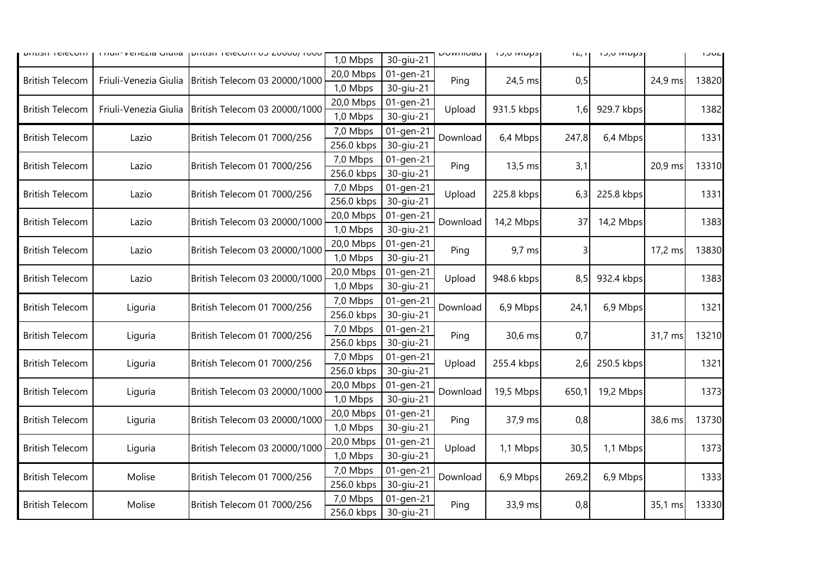| וווטסים וכונותו        |                       | THUIP VEHEZIA URHA   DHUSH TEIECOHTU J ZUUUU/ TUUU | 1,0 Mbps   | 30-giu-21 | <b>DUWITIUAU</b> | וכקטומו טירו | $1 \leq r$ | וכקטואו טירו |         | 1JUL  |  |  |
|------------------------|-----------------------|----------------------------------------------------|------------|-----------|------------------|--------------|------------|--------------|---------|-------|--|--|
| <b>British Telecom</b> |                       | British Telecom 03 20000/1000                      | 20,0 Mbps  | 01-gen-21 | Ping             | 24,5 ms      | 0,5        |              |         |       |  |  |
|                        | Friuli-Venezia Giulia |                                                    | 1,0 Mbps   | 30-giu-21 |                  |              |            |              | 24,9 ms | 13820 |  |  |
| <b>British Telecom</b> | Friuli-Venezia Giulia |                                                    | 20,0 Mbps  | 01-gen-21 | Upload           | 931.5 kbps   | 1,6        |              |         |       |  |  |
|                        |                       | British Telecom 03 20000/1000                      | 1,0 Mbps   | 30-giu-21 |                  |              |            | 929.7 kbps   |         | 1382  |  |  |
|                        |                       |                                                    | 7,0 Mbps   | 01-gen-21 | Download         | 6,4 Mbps     | 247,8      | 6,4 Mbps     |         |       |  |  |
| <b>British Telecom</b> | Lazio                 | British Telecom 01 7000/256                        | 256.0 kbps | 30-giu-21 |                  |              |            |              |         | 1331  |  |  |
|                        |                       |                                                    | 7,0 Mbps   | 01-gen-21 | Ping             |              |            |              |         |       |  |  |
| <b>British Telecom</b> | Lazio                 | British Telecom 01 7000/256                        | 256.0 kbps | 30-giu-21 |                  | 13,5 ms      | 3,1        |              | 20,9 ms | 13310 |  |  |
|                        |                       |                                                    | 7,0 Mbps   | 01-gen-21 |                  |              |            |              |         |       |  |  |
| <b>British Telecom</b> | Lazio                 | British Telecom 01 7000/256                        | 256.0 kbps | 30-giu-21 | Upload           | 225.8 kbps   | 6,3        | 225.8 kbps   |         | 1331  |  |  |
| <b>British Telecom</b> | Lazio                 |                                                    | 20,0 Mbps  | 01-gen-21 |                  | 14,2 Mbps    | 37         | 14,2 Mbps    |         | 1383  |  |  |
|                        |                       | British Telecom 03 20000/1000                      | 1,0 Mbps   | 30-giu-21 | Download         |              |            |              |         |       |  |  |
| <b>British Telecom</b> | Lazio                 | British Telecom 03 20000/1000                      | 20,0 Mbps  | 01-gen-21 | Ping             | $9,7$ ms     |            |              | 17,2 ms | 13830 |  |  |
|                        |                       |                                                    | 1,0 Mbps   | 30-giu-21 |                  |              |            |              |         |       |  |  |
| <b>British Telecom</b> | Lazio                 | British Telecom 03 20000/1000                      | 20,0 Mbps  | 01-gen-21 | Upload           | 948.6 kbps   | 8,5        | 932.4 kbps   |         | 1383  |  |  |
|                        |                       |                                                    | 1,0 Mbps   | 30-giu-21 |                  |              |            |              |         |       |  |  |
| <b>British Telecom</b> | Liguria               | British Telecom 01 7000/256                        | 7,0 Mbps   | 01-gen-21 | Download         | 6,9 Mbps     | 24,1       | 6,9 Mbps     |         | 1321  |  |  |
|                        |                       |                                                    | 256.0 kbps | 30-giu-21 |                  |              |            |              |         |       |  |  |
| <b>British Telecom</b> | Liguria               | British Telecom 01 7000/256                        | 7,0 Mbps   | 01-gen-21 | Ping             | 30,6 ms      | 0,7        |              | 31,7 ms | 13210 |  |  |
|                        |                       |                                                    | 256.0 kbps | 30-giu-21 |                  |              |            |              |         |       |  |  |
| <b>British Telecom</b> | Liguria               | British Telecom 01 7000/256                        | 7,0 Mbps   | 01-gen-21 | Upload           | 255.4 kbps   | 2,6        | 250.5 kbps   |         | 1321  |  |  |
|                        |                       |                                                    | 256.0 kbps | 30-giu-21 |                  |              |            |              |         |       |  |  |
| <b>British Telecom</b> | Liguria               | British Telecom 03 20000/1000                      | 20,0 Mbps  | 01-gen-21 | Download         | 19,5 Mbps    | 650,1      | 19,2 Mbps    |         | 1373  |  |  |
|                        |                       |                                                    | 1,0 Mbps   | 30-giu-21 |                  |              |            |              |         |       |  |  |
| <b>British Telecom</b> | Liguria               | British Telecom 03 20000/1000                      | 20,0 Mbps  | 01-gen-21 | Ping             | 37,9 ms      | 0,8        |              | 38,6 ms | 13730 |  |  |
|                        |                       |                                                    | 1,0 Mbps   | 30-giu-21 |                  |              |            |              |         |       |  |  |
| <b>British Telecom</b> | Liguria               | British Telecom 03 20000/1000                      | 20,0 Mbps  | 01-gen-21 | Upload           | 1,1 Mbps     | 30,5       | 1,1 Mbps     |         | 1373  |  |  |
|                        |                       |                                                    | 1,0 Mbps   | 30-giu-21 |                  |              |            |              |         |       |  |  |
| <b>British Telecom</b> |                       | British Telecom 01 7000/256<br>Molise              | 7,0 Mbps   | 01-gen-21 | Download         | 6,9 Mbps     | 269,2      | 6,9 Mbps     |         | 1333  |  |  |
|                        |                       |                                                    | 256.0 kbps | 30-giu-21 |                  |              |            |              |         |       |  |  |
| <b>British Telecom</b> | Molise                | British Telecom 01 7000/256                        | 7,0 Mbps   | 01-gen-21 | Ping             | 33,9 ms      | 0,8        |              | 35,1 ms | 13330 |  |  |
|                        |                       |                                                    |            |           | 256.0 kbps       | 30-giu-21    |            |              |         |       |  |  |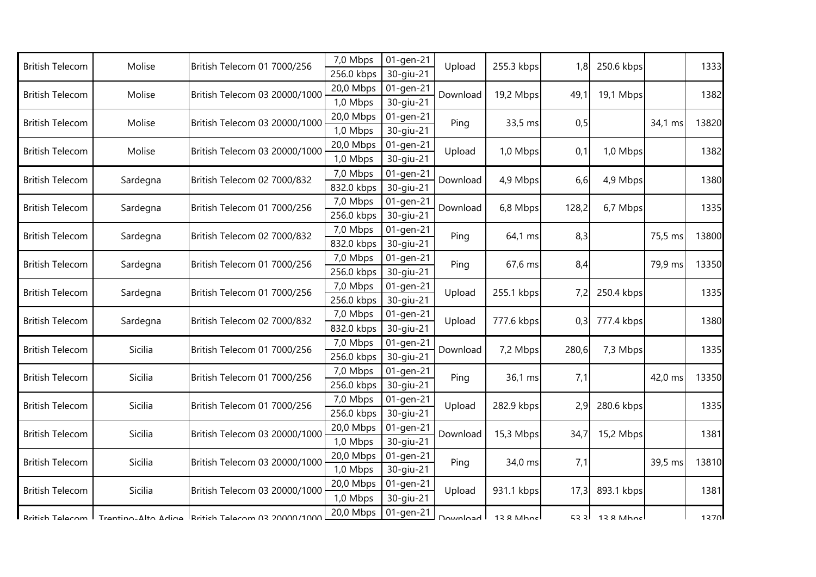| <b>British Telecom</b>           | Molise         | British Telecom 01 7000/256                                           | 7,0 Mbps               | 01-gen-21              | Upload           | 255.3 kbps          | 1,8          | 250.6 kbps       |         | 1333  |
|----------------------------------|----------------|-----------------------------------------------------------------------|------------------------|------------------------|------------------|---------------------|--------------|------------------|---------|-------|
|                                  |                |                                                                       | 256.0 kbps             | 30-giu-21              |                  |                     |              |                  |         |       |
| <b>British Telecom</b><br>Molise |                | British Telecom 03 20000/1000                                         | 20,0 Mbps              | 01-gen-21              | Download         | 19,2 Mbps           | 49,1         | 19,1 Mbps        |         | 1382  |
|                                  |                | 1,0 Mbps                                                              | 30-giu-21              |                        |                  |                     |              |                  |         |       |
| <b>British Telecom</b><br>Molise |                | British Telecom 03 20000/1000                                         | 20,0 Mbps              | 01-gen-21              | Ping             | 33,5 ms             | 0,5          |                  | 34,1 ms | 13820 |
|                                  |                |                                                                       | 1,0 Mbps               | 30-giu-21              |                  |                     |              |                  |         |       |
| <b>British Telecom</b>           | Molise         | British Telecom 03 20000/1000                                         | 20,0 Mbps              | 01-gen-21              | Upload           | 1,0 Mbps            | 0,1          | 1,0 Mbps         |         | 1382  |
|                                  |                |                                                                       | 1,0 Mbps               | 30-giu-21              | Download         |                     |              | 4,9 Mbps         |         |       |
| <b>British Telecom</b>           | Sardegna       | British Telecom 02 7000/832                                           | 7,0 Mbps<br>832.0 kbps | 01-gen-21<br>30-giu-21 |                  | 4,9 Mbps            | 6,6          |                  |         | 1380  |
|                                  |                |                                                                       | 7,0 Mbps               | 01-gen-21              |                  |                     |              |                  |         |       |
| <b>British Telecom</b>           | Sardegna       | British Telecom 01 7000/256                                           | 256.0 kbps             | 30-giu-21              | Download         | 6,8 Mbps            | 128,2        | 6,7 Mbps         |         | 1335  |
|                                  |                |                                                                       | 7,0 Mbps               | 01-gen-21              |                  |                     |              |                  |         |       |
| <b>British Telecom</b>           | Sardegna       | British Telecom 02 7000/832                                           | 832.0 kbps             | 30-giu-21              | Ping             | 64,1 ms             | 8,3          |                  | 75,5 ms | 13800 |
| <b>British Telecom</b>           |                | British Telecom 01 7000/256                                           | 7,0 Mbps               | 01-gen-21              | Ping             | 67,6 ms             | 8,4          |                  |         |       |
|                                  | Sardegna       |                                                                       | 256.0 kbps             | 30-giu-21              |                  |                     |              |                  | 79,9 ms | 13350 |
| <b>British Telecom</b>           | Sardegna       | British Telecom 01 7000/256                                           | 7,0 Mbps               | 01-gen-21              | Upload           | 255.1 kbps          | 7,2          | 250.4 kbps       |         |       |
|                                  |                |                                                                       | 256.0 kbps             | 30-giu-21              |                  |                     |              |                  |         | 1335  |
|                                  |                | British Telecom 02 7000/832                                           | 7,0 Mbps               | 01-gen-21              |                  | 777.6 kbps          |              | 777.4 kbps       |         |       |
| <b>British Telecom</b>           | Sardegna       |                                                                       | 832.0 kbps             | 30-giu-21              | Upload           |                     | 0,3          |                  |         | 1380  |
|                                  | <b>Sicilia</b> |                                                                       | 7,0 Mbps               | 01-gen-21              | Download<br>Ping | 7,2 Mbps<br>36,1 ms | 280,6<br>7,1 | 7,3 Mbps         |         |       |
| <b>British Telecom</b>           |                | British Telecom 01 7000/256                                           | 256.0 kbps             | 30-giu-21              |                  |                     |              |                  |         | 1335  |
|                                  |                |                                                                       | 7,0 Mbps               | 01-gen-21              |                  |                     |              |                  |         |       |
| <b>British Telecom</b>           | <b>Sicilia</b> | British Telecom 01 7000/256                                           | 256.0 kbps             | 30-giu-21              |                  |                     |              |                  | 42,0 ms | 13350 |
|                                  | Sicilia        | British Telecom 01 7000/256                                           | 7,0 Mbps               | 01-gen-21              | Upload           | 282.9 kbps          | 2,9          | 280.6 kbps       |         |       |
| <b>British Telecom</b>           |                |                                                                       | 256.0 kbps             | 30-giu-21              |                  |                     |              |                  |         | 1335  |
|                                  |                |                                                                       | 20,0 Mbps              | 01-gen-21              |                  |                     |              |                  |         |       |
| <b>British Telecom</b>           | Sicilia        | British Telecom 03 20000/1000                                         | 1,0 Mbps               | 30-giu-21              | Download         | 15,3 Mbps           | 34,7         | 15,2 Mbps        |         | 1381  |
|                                  | Sicilia        | British Telecom 03 20000/1000                                         | 20,0 Mbps              | 01-gen-21              | Ping             | 34,0 ms             | 7,1          |                  | 39,5 ms | 13810 |
| <b>British Telecom</b>           |                |                                                                       | 1,0 Mbps               | 30-giu-21              |                  |                     |              |                  |         |       |
| <b>British Telecom</b>           | Sicilia        | British Telecom 03 20000/1000                                         | 20,0 Mbps              | 01-gen-21              | Upload           | 931.1 kbps          | 17,3         | 893.1 kbps       |         | 1381  |
|                                  |                |                                                                       | 1,0 Mbps               | 30-giu-21              |                  |                     |              |                  |         |       |
|                                  |                | Rritich Telecom   Trentino-Alto Adige   Rritich Telecom 03 20000/1000 | 20,0 Mbps              | 01-gen-21              | Download L       | 13 & Mhncl          |              | $5331$ 138 Mhncl |         | 1370  |
|                                  |                |                                                                       |                        |                        |                  |                     |              |                  |         |       |